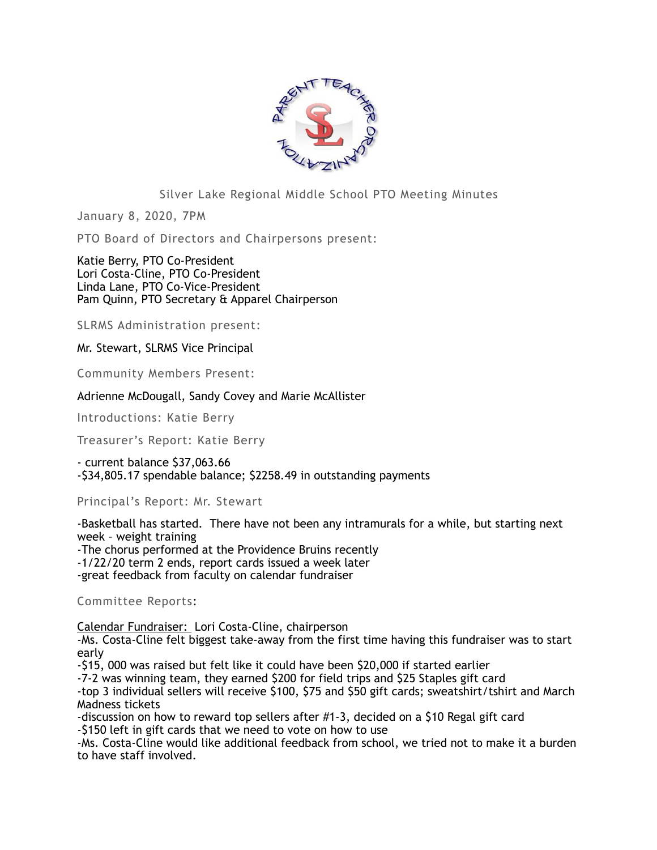

## Silver Lake Regional Middle School PTO Meeting Minutes

January 8, 2020, 7PM

PTO Board of Directors and Chairpersons present:

Katie Berry, PTO Co-President Lori Costa-Cline, PTO Co-President Linda Lane, PTO Co-Vice-President Pam Quinn, PTO Secretary & Apparel Chairperson

SLRMS Administration present:

Mr. Stewart, SLRMS Vice Principal

Community Members Present:

Adrienne McDougall, Sandy Covey and Marie McAllister

Introductions: Katie Berry

Treasurer's Report: Katie Berry

- current balance \$37,063.66 -\$34,805.17 spendable balance; \$2258.49 in outstanding payments

Principal's Report: Mr. Stewart

-Basketball has started. There have not been any intramurals for a while, but starting next week – weight training -The chorus performed at the Providence Bruins recently -1/22/20 term 2 ends, report cards issued a week later -great feedback from faculty on calendar fundraiser

Committee Reports:

Calendar Fundraiser: Lori Costa-Cline, chairperson

-Ms. Costa-Cline felt biggest take-away from the first time having this fundraiser was to start early

-\$15, 000 was raised but felt like it could have been \$20,000 if started earlier

-7-2 was winning team, they earned \$200 for field trips and \$25 Staples gift card

-top 3 individual sellers will receive \$100, \$75 and \$50 gift cards; sweatshirt/tshirt and March Madness tickets

-discussion on how to reward top sellers after #1-3, decided on a \$10 Regal gift card -\$150 left in gift cards that we need to vote on how to use

-Ms. Costa-Cline would like additional feedback from school, we tried not to make it a burden to have staff involved.